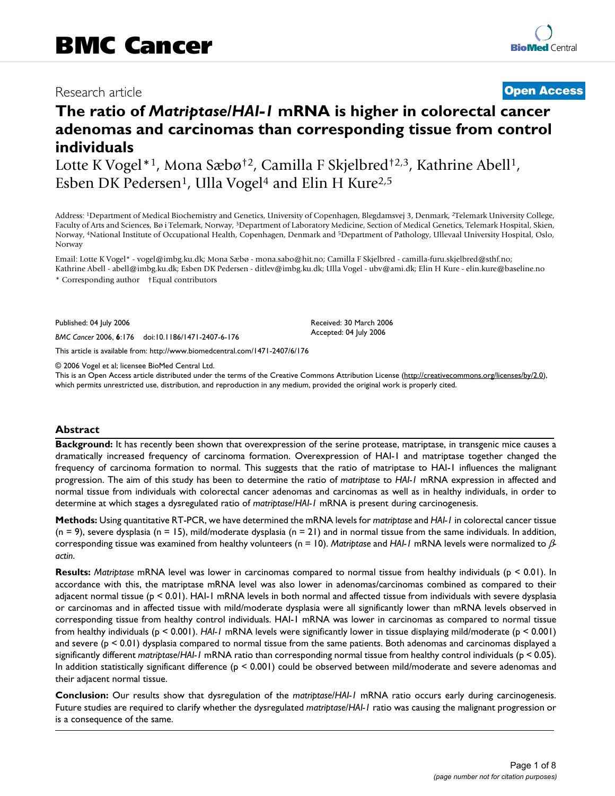# Research article **[Open Access](http://www.biomedcentral.com/info/about/charter/)**

# **The ratio of** *Matriptase***/***HAI-1* **mRNA is higher in colorectal cancer adenomas and carcinomas than corresponding tissue from control individuals**

Lotte K Vogel<sup>\*1</sup>, Mona Sæbø<sup>†2</sup>, Camilla F Skjelbred<sup>†2,3</sup>, Kathrine Abell<sup>1</sup>, Esben DK Pedersen<sup>1</sup>, Ulla Vogel<sup>4</sup> and Elin H Kure<sup>2,5</sup>

Address: 1Department of Medical Biochemistry and Genetics, University of Copenhagen, Blegdamsvej 3, Denmark, 2Telemark University College, Faculty of Arts and Sciences, Bø i Telemark, Norway, 3Department of Laboratory Medicine, Section of Medical Genetics, Telemark Hospital, Skien, Norway, 4National Institute of Occupational Health, Copenhagen, Denmark and 5Department of Pathology, Ullevaal University Hospital, Oslo, Norway

Email: Lotte K Vogel\* - vogel@imbg.ku.dk; Mona Sæbø - mona.sabo@hit.no; Camilla F Skjelbred - camilla-furu.skjelbred@sthf.no; Kathrine Abell - abell@imbg.ku.dk; Esben DK Pedersen - ditlev@imbg.ku.dk; Ulla Vogel - ubv@ami.dk; Elin H Kure - elin.kure@baseline.no \* Corresponding author †Equal contributors

Published: 04 July 2006

*BMC Cancer* 2006, **6**:176 doi:10.1186/1471-2407-6-176

[This article is available from: http://www.biomedcentral.com/1471-2407/6/176](http://www.biomedcentral.com/1471-2407/6/176)

© 2006 Vogel et al; licensee BioMed Central Ltd.

This is an Open Access article distributed under the terms of the Creative Commons Attribution License [\(http://creativecommons.org/licenses/by/2.0\)](http://creativecommons.org/licenses/by/2.0), which permits unrestricted use, distribution, and reproduction in any medium, provided the original work is properly cited.

Received: 30 March 2006 Accepted: 04 July 2006

# **Abstract**

**Background:** It has recently been shown that overexpression of the serine protease, matriptase, in transgenic mice causes a dramatically increased frequency of carcinoma formation. Overexpression of HAI-1 and matriptase together changed the frequency of carcinoma formation to normal. This suggests that the ratio of matriptase to HAI-1 influences the malignant progression. The aim of this study has been to determine the ratio of *matriptase* to *HAI-1* mRNA expression in affected and normal tissue from individuals with colorectal cancer adenomas and carcinomas as well as in healthy individuals, in order to determine at which stages a dysregulated ratio of *matriptase*/*HAI-1* mRNA is present during carcinogenesis.

**Methods:** Using quantitative RT-PCR, we have determined the mRNA levels for *matriptase* and *HAI-1* in colorectal cancer tissue  $(n = 9)$ , severe dysplasia  $(n = 15)$ , mild/moderate dysplasia  $(n = 21)$  and in normal tissue from the same individuals. In addition, corresponding tissue was examined from healthy volunteers (n = 10). *Matriptase* and *HAI-1* mRNA levels were normalized to β*actin*.

**Results:** *Matriptase* mRNA level was lower in carcinomas compared to normal tissue from healthy individuals (p < 0.01). In accordance with this, the matriptase mRNA level was also lower in adenomas/carcinomas combined as compared to their adjacent normal tissue (p < 0.01). HAI-1 mRNA levels in both normal and affected tissue from individuals with severe dysplasia or carcinomas and in affected tissue with mild/moderate dysplasia were all significantly lower than mRNA levels observed in corresponding tissue from healthy control individuals. HAI-1 mRNA was lower in carcinomas as compared to normal tissue from healthy individuals (p < 0.001). *HAI-1* mRNA levels were significantly lower in tissue displaying mild/moderate (p < 0.001) and severe (p < 0.01) dysplasia compared to normal tissue from the same patients. Both adenomas and carcinomas displayed a significantly different *matriptase*/*HAI-1* mRNA ratio than corresponding normal tissue from healthy control individuals (p < 0.05). In addition statistically significant difference (p < 0.001) could be observed between mild/moderate and severe adenomas and their adjacent normal tissue.

**Conclusion:** Our results show that dysregulation of the *matriptase*/*HAI-1* mRNA ratio occurs early during carcinogenesis. Future studies are required to clarify whether the dysregulated *matriptase*/*HAI-1* ratio was causing the malignant progression or is a consequence of the same.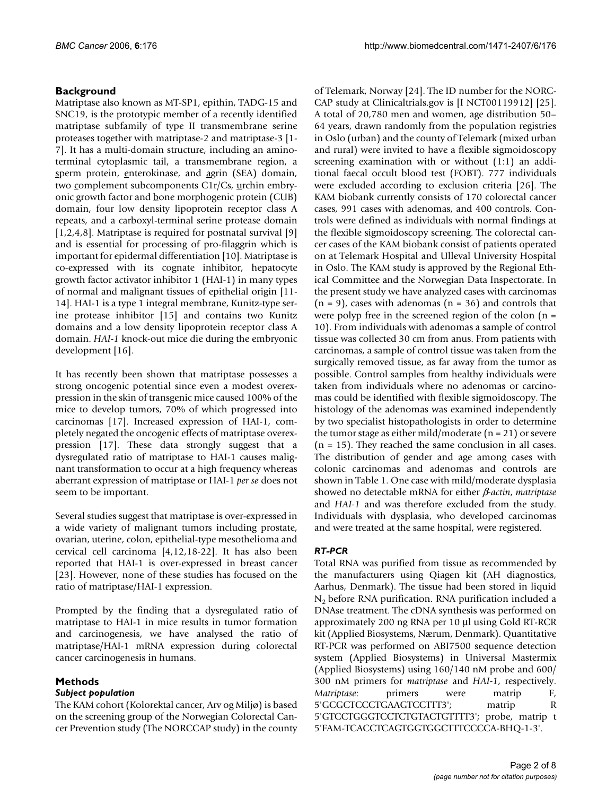# **Background**

Matriptase also known as MT-SP1, epithin, TADG-15 and SNC19, is the prototypic member of a recently identified matriptase subfamily of type II transmembrane serine proteases together with matriptase-2 and matriptase-3 [1- 7]. It has a multi-domain structure, including an aminoterminal cytoplasmic tail, a transmembrane region, a sperm protein, enterokinase, and agrin (SEA) domain, two complement subcomponents C1r/Cs, urchin embryonic growth factor and bone morphogenic protein (CUB) domain, four low density lipoprotein receptor class A repeats, and a carboxyl-terminal serine protease domain [1,2,4,8]. Matriptase is required for postnatal survival [9] and is essential for processing of pro-filaggrin which is important for epidermal differentiation [10]. Matriptase is co-expressed with its cognate inhibitor, hepatocyte growth factor activator inhibitor 1 (HAI-1) in many types of normal and malignant tissues of epithelial origin [11- 14]. HAI-1 is a type 1 integral membrane, Kunitz-type serine protease inhibitor [15] and contains two Kunitz domains and a low density lipoprotein receptor class A domain. *HAI-1* knock-out mice die during the embryonic development [16].

It has recently been shown that matriptase possesses a strong oncogenic potential since even a modest overexpression in the skin of transgenic mice caused 100% of the mice to develop tumors, 70% of which progressed into carcinomas [17]. Increased expression of HAI-1, completely negated the oncogenic effects of matriptase overexpression [17]. These data strongly suggest that a dysregulated ratio of matriptase to HAI-1 causes malignant transformation to occur at a high frequency whereas aberrant expression of matriptase or HAI-1 *per se* does not seem to be important.

Several studies suggest that matriptase is over-expressed in a wide variety of malignant tumors including prostate, ovarian, uterine, colon, epithelial-type mesothelioma and cervical cell carcinoma [4,12,18-22]. It has also been reported that HAI-1 is over-expressed in breast cancer [23]. However, none of these studies has focused on the ratio of matriptase/HAI-1 expression.

Prompted by the finding that a dysregulated ratio of matriptase to HAI-1 in mice results in tumor formation and carcinogenesis, we have analysed the ratio of matriptase/HAI-1 mRNA expression during colorectal cancer carcinogenesis in humans.

# **Methods**

# *Subject population*

The KAM cohort (Kolorektal cancer, Arv og Miljø) is based on the screening group of the Norwegian Colorectal Cancer Prevention study (The NORCCAP study) in the county of Telemark, Norway [24]. The ID number for the NORC-CAP study at Clinicaltrials.gov is [I NCT00119912] [25]. A total of 20,780 men and women, age distribution 50– 64 years, drawn randomly from the population registries in Oslo (urban) and the county of Telemark (mixed urban and rural) were invited to have a flexible sigmoidoscopy screening examination with or without (1:1) an additional faecal occult blood test (FOBT). 777 individuals were excluded according to exclusion criteria [26]. The KAM biobank currently consists of 170 colorectal cancer cases, 991 cases with adenomas, and 400 controls. Controls were defined as individuals with normal findings at the flexible sigmoidoscopy screening. The colorectal cancer cases of the KAM biobank consist of patients operated on at Telemark Hospital and Ulleval University Hospital in Oslo. The KAM study is approved by the Regional Ethical Committee and the Norwegian Data Inspectorate. In the present study we have analyzed cases with carcinomas  $(n = 9)$ , cases with adenomas  $(n = 36)$  and controls that were polyp free in the screened region of the colon  $(n =$ 10). From individuals with adenomas a sample of control tissue was collected 30 cm from anus. From patients with carcinomas, a sample of control tissue was taken from the surgically removed tissue, as far away from the tumor as possible. Control samples from healthy individuals were taken from individuals where no adenomas or carcinomas could be identified with flexible sigmoidoscopy. The histology of the adenomas was examined independently by two specialist histopathologists in order to determine the tumor stage as either mild/moderate  $(n = 21)$  or severe  $(n = 15)$ . They reached the same conclusion in all cases. The distribution of gender and age among cases with colonic carcinomas and adenomas and controls are shown in Table 1. One case with mild/moderate dysplasia showed no detectable mRNA for either β*-actin*, *matriptase* and *HAI-1* and was therefore excluded from the study. Individuals with dysplasia, who developed carcinomas and were treated at the same hospital, were registered.

# *RT-PCR*

Total RNA was purified from tissue as recommended by the manufacturers using Qiagen kit (AH diagnostics, Aarhus, Denmark). The tissue had been stored in liquid  $N<sub>2</sub>$  before RNA purification. RNA purification included a DNAse treatment. The cDNA synthesis was performed on approximately 200 ng RNA per 10 μl using Gold RT-RCR kit (Applied Biosystems, Nærum, Denmark). Quantitative RT-PCR was performed on ABI7500 sequence detection system (Applied Biosystems) in Universal Mastermix (Applied Biosystems) using 160/140 nM probe and 600/ 300 nM primers for *matriptase* and *HAI-1*, respectively. *Matriptase*: primers were matrip F, 5'GCGCTCCCTGAAGTCCTTT3'; matrip R 5'GTCCTGGGTCCTCTGTACTGTTTT3'; probe, matrip t 5'FAM-TCACCTCAGTGGTGGCTTTCCCCA-BHQ-1-3'.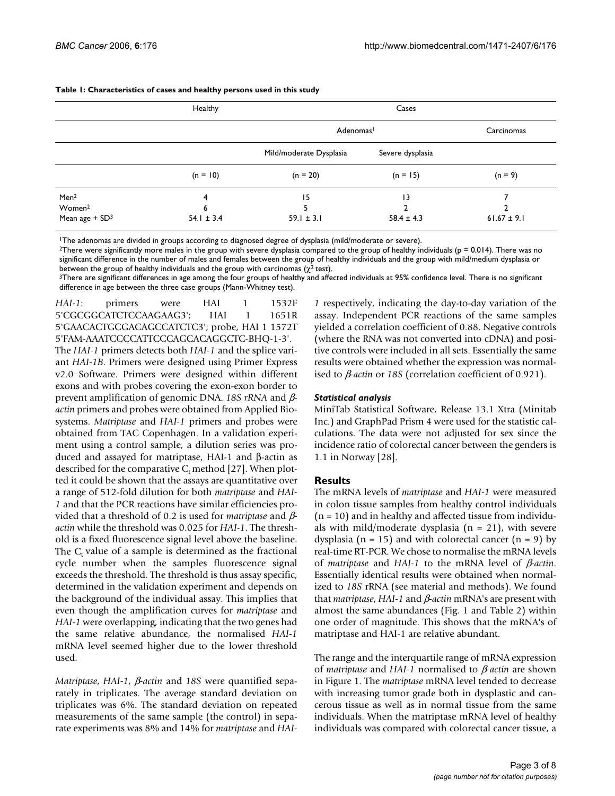|                              | Healthy        | Cases                   |                  |                 |
|------------------------------|----------------|-------------------------|------------------|-----------------|
|                              |                | Adenomas <sup>1</sup>   |                  | Carcinomas      |
|                              |                | Mild/moderate Dysplasia | Severe dysplasia |                 |
|                              | $(n = 10)$     | $(n = 20)$              | $(n = 15)$       | $(n = 9)$       |
| Men <sup>2</sup>             | 4              | 15                      | 13               |                 |
| Women <sup>2</sup>           | 6              |                         |                  |                 |
| Mean age $+$ SD <sup>3</sup> | $54.1 \pm 3.4$ | $59.1 \pm 3.1$          | $58.4 \pm 4.3$   | $61.67 \pm 9.1$ |

**Table 1: Characteristics of cases and healthy persons used in this study**

1The adenomas are divided in groups according to diagnosed degree of dysplasia (mild/moderate or severe).

<sup>2</sup>There were significantly more males in the group with severe dysplasia compared to the group of healthy individuals (p = 0.014). There was no significant difference in the number of males and females between the group of healthy individuals and the group with mild/medium dysplasia or between the group of healthy individuals and the group with carcinomas ( $\chi^2$  test).

<sup>3</sup>There are significant differences in age among the four groups of healthy and affected individuals at 95% confidence level. There is no significant difference in age between the three case groups (Mann-Whitney test).

*HAI-1*: primers were HAI 1 1532F 5'CGCGGCATCTCCAAGAAG3'; HAI 1 1651R 5'GAACACTGCGACAGCCATCTC3'; probe, HAI 1 1572T 5'FAM-AAATCCCCATTCCCAGCACAGGCTC-BHQ-1-3'.

The *HAI-1* primers detects both *HAI-1* and the splice variant *HAI-1B*. Primers were designed using Primer Express v2.0 Software. Primers were designed within different exons and with probes covering the exon-exon border to prevent amplification of genomic DNA. *18S rRNA* and β*actin* primers and probes were obtained from Applied Biosystems. *Matriptase* and *HAI-1* primers and probes were obtained from TAC Copenhagen. In a validation experiment using a control sample, a dilution series was produced and assayed for matriptase, HAI-1 and β-actin as described for the comparative  $C_t$  method [27]. When plotted it could be shown that the assays are quantitative over a range of 512-fold dilution for both *matriptase* and *HAI-1* and that the PCR reactions have similar efficiencies provided that a threshold of 0.2 is used for *matriptase* and β*actin* while the threshold was 0.025 for *HAI-1*. The threshold is a fixed fluorescence signal level above the baseline. The  $C_t$  value of a sample is determined as the fractional cycle number when the samples fluorescence signal exceeds the threshold. The threshold is thus assay specific, determined in the validation experiment and depends on the background of the individual assay. This implies that even though the amplification curves for *matriptase* and *HAI-1* were overlapping, indicating that the two genes had the same relative abundance, the normalised *HAI-1* mRNA level seemed higher due to the lower threshold used.

*Matriptase*, *HAI-1*, β*-actin* and *18S* were quantified separately in triplicates. The average standard deviation on triplicates was 6%. The standard deviation on repeated measurements of the same sample (the control) in separate experiments was 8% and 14% for *matriptase* and *HAI-*

*1* respectively, indicating the day-to-day variation of the assay. Independent PCR reactions of the same samples yielded a correlation coefficient of 0.88. Negative controls (where the RNA was not converted into cDNA) and positive controls were included in all sets. Essentially the same results were obtained whether the expression was normalised to β*-actin* or *18S* (correlation coefficient of 0.921).

### *Statistical analysis*

MiniTab Statistical Software, Release 13.1 Xtra (Minitab Inc.) and GraphPad Prism 4 were used for the statistic calculations. The data were not adjusted for sex since the incidence ratio of colorectal cancer between the genders is 1.1 in Norway [28].

#### **Results**

The mRNA levels of *matriptase* and *HAI-1* were measured in colon tissue samples from healthy control individuals  $(n = 10)$  and in healthy and affected tissue from individuals with mild/moderate dysplasia ( $n = 21$ ), with severe dysplasia ( $n = 15$ ) and with colorectal cancer ( $n = 9$ ) by real-time RT-PCR. We chose to normalise the mRNA levels of *matriptase* and *HAI-1* to the mRNA level of β*-actin*. Essentially identical results were obtained when normalized to *18S* rRNA (see material and methods). We found that *matriptase*, *HAI-1* and β*-actin* mRNA's are present with almost the same abundances (Fig. 1 and Table 2) within one order of magnitude. This shows that the mRNA's of matriptase and HAI-1 are relative abundant.

The range and the interquartile range of mRNA expression of *matriptase* and *HAI-1* normalised to β*-actin* are shown in Figure 1. The *matriptase* mRNA level tended to decrease with increasing tumor grade both in dysplastic and cancerous tissue as well as in normal tissue from the same individuals. When the matriptase mRNA level of healthy individuals was compared with colorectal cancer tissue, a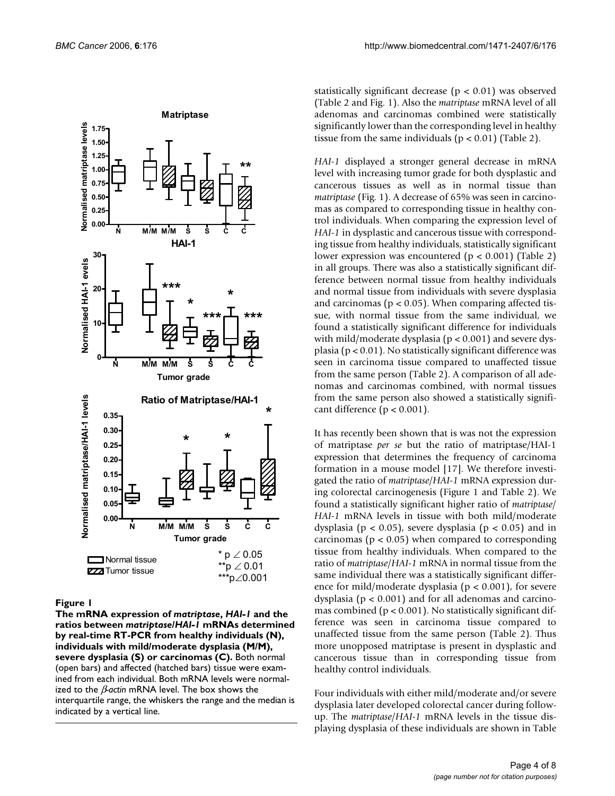

#### Figure I

**The mRNA expression of** *matriptase***,** *HAI-1* **and the ratios between** *matriptase***/***HAI-1* **mRNAs determined by real-time RT-PCR from healthy individuals (N), individuals with mild/moderate dysplasia (M/M), severe dysplasia (S) or carcinomas (C).** Both normal (open bars) and affected (hatched bars) tissue were examined from each individual. Both mRNA levels were normalized to the β*-actin* mRNA level. The box shows the interquartile range, the whiskers the range and the median is indicated by a vertical line.

statistically significant decrease ( $p < 0.01$ ) was observed (Table 2 and Fig. 1). Also the *matriptase* mRNA level of all adenomas and carcinomas combined were statistically significantly lower than the corresponding level in healthy tissue from the same individuals  $(p < 0.01)$  (Table 2).

*HAI-1* displayed a stronger general decrease in mRNA level with increasing tumor grade for both dysplastic and cancerous tissues as well as in normal tissue than *matriptase* (Fig. 1). A decrease of 65% was seen in carcinomas as compared to corresponding tissue in healthy control individuals. When comparing the expression level of *HAI-1* in dysplastic and cancerous tissue with corresponding tissue from healthy individuals, statistically significant lower expression was encountered ( $p < 0.001$ ) (Table 2) in all groups. There was also a statistically significant difference between normal tissue from healthy individuals and normal tissue from individuals with severe dysplasia and carcinomas ( $p < 0.05$ ). When comparing affected tissue, with normal tissue from the same individual, we found a statistically significant difference for individuals with mild/moderate dysplasia ( $p < 0.001$ ) and severe dysplasia ( $p < 0.01$ ). No statistically significant difference was seen in carcinoma tissue compared to unaffected tissue from the same person (Table 2). A comparison of all adenomas and carcinomas combined, with normal tissues from the same person also showed a statistically significant difference ( $p < 0.001$ ).

It has recently been shown that is was not the expression of matriptase *per se* but the ratio of matriptase/HAI-1 expression that determines the frequency of carcinoma formation in a mouse model [17]. We therefore investigated the ratio of *matriptase*/*HAI-1* mRNA expression during colorectal carcinogenesis (Figure 1 and Table 2). We found a statistically significant higher ratio of *matriptase*/ *HAI-1* mRNA levels in tissue with both mild/moderate dysplasia ( $p < 0.05$ ), severe dysplasia ( $p < 0.05$ ) and in carcinomas ( $p < 0.05$ ) when compared to corresponding tissue from healthy individuals. When compared to the ratio of *matriptase*/*HAI-1* mRNA in normal tissue from the same individual there was a statistically significant difference for mild/moderate dysplasia ( $p < 0.001$ ), for severe dysplasia (p < 0.001) and for all adenomas and carcinomas combined ( $p < 0.001$ ). No statistically significant difference was seen in carcinoma tissue compared to unaffected tissue from the same person (Table 2). Thus more unopposed matriptase is present in dysplastic and cancerous tissue than in corresponding tissue from healthy control individuals.

Four individuals with either mild/moderate and/or severe dysplasia later developed colorectal cancer during followup. The *matriptase*/*HAI-1* mRNA levels in the tissue displaying dysplasia of these individuals are shown in Table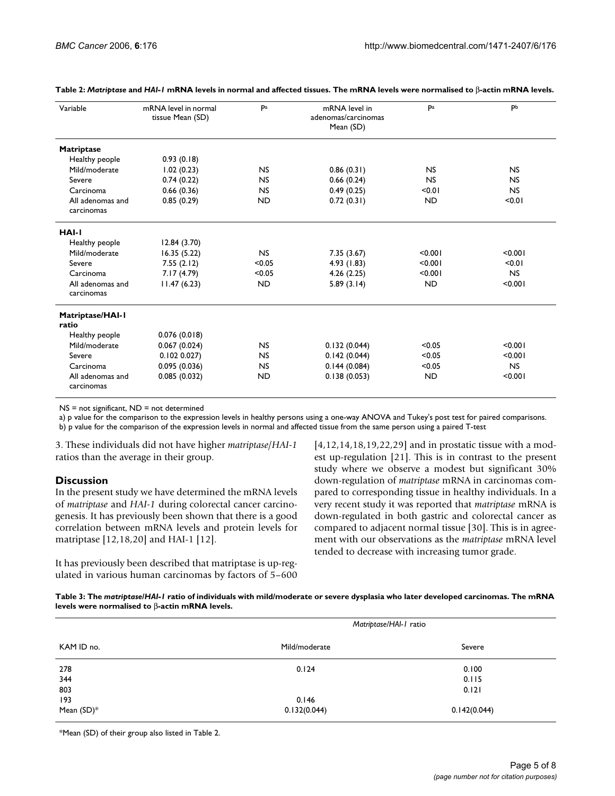| Variable                       | mRNA level in normal<br>tissue Mean (SD) | Pa        | mRNA level in<br>adenomas/carcinomas<br>Mean (SD) | Pa        | Pb        |
|--------------------------------|------------------------------------------|-----------|---------------------------------------------------|-----------|-----------|
| <b>Matriptase</b>              |                                          |           |                                                   |           |           |
| Healthy people                 | 0.93(0.18)                               |           |                                                   |           |           |
| Mild/moderate                  | 1.02(0.23)                               | <b>NS</b> | 0.86(0.31)                                        | <b>NS</b> | <b>NS</b> |
| Severe                         | 0.74(0.22)                               | <b>NS</b> | 0.66(0.24)                                        | <b>NS</b> | <b>NS</b> |
| Carcinoma                      | 0.66(0.36)                               | <b>NS</b> | 0.49(0.25)                                        | < 0.01    | <b>NS</b> |
| All adenomas and<br>carcinomas | 0.85(0.29)                               | <b>ND</b> | 0.72(0.31)                                        | <b>ND</b> | < 0.01    |
| HAI-I                          |                                          |           |                                                   |           |           |
| Healthy people                 | 12.84(3.70)                              |           |                                                   |           |           |
| Mild/moderate                  | 16.35(5.22)                              | <b>NS</b> | 7.35(3.67)                                        | < 0.001   | < 0.001   |
| Severe                         | 7.55(2.12)                               | < 0.05    | 4.93 (1.83)                                       | < 0.001   | < 0.01    |
| Carcinoma                      | 7.17(4.79)                               | < 0.05    | 4.26(2.25)                                        | < 0.001   | NS        |
| All adenomas and<br>carcinomas | 11.47(6.23)                              | <b>ND</b> | 5.89(3.14)                                        | <b>ND</b> | < 0.001   |
| Matriptase/HAI-I<br>ratio      |                                          |           |                                                   |           |           |
| Healthy people                 | 0.076(0.018)                             |           |                                                   |           |           |
| Mild/moderate                  | 0.067(0.024)                             | <b>NS</b> | 0.132(0.044)                                      | < 0.05    | < 0.001   |
| Severe                         | 0.102 0.027                              | <b>NS</b> | 0.142(0.044)                                      | < 0.05    | < 0.001   |
| Carcinoma                      | 0.095(0.036)                             | <b>NS</b> | 0.144(0.084)                                      | < 0.05    | <b>NS</b> |
| All adenomas and<br>carcinomas | 0.085(0.032)                             | <b>ND</b> | 0.138(0.053)                                      | <b>ND</b> | < 0.001   |

**Table 2:** *Matriptase* **and** *HAI-1* **mRNA levels in normal and affected tissues. The mRNA levels were normalised to** β**-actin mRNA levels.**

NS = not significant, ND = not determined

a) p value for the comparison to the expression levels in healthy persons using a one-way ANOVA and Tukey's post test for paired comparisons.

b) p value for the comparison of the expression levels in normal and affected tissue from the same person using a paired T-test

3. These individuals did not have higher *matriptase*/*HAI-1* ratios than the average in their group.

# **Discussion**

In the present study we have determined the mRNA levels of *matriptase* and *HAI-1* during colorectal cancer carcinogenesis. It has previously been shown that there is a good correlation between mRNA levels and protein levels for matriptase [12,18,20] and HAI-1 [12].

It has previously been described that matriptase is up-regulated in various human carcinomas by factors of 5–600 [4,12,14,18,19,22,29] and in prostatic tissue with a modest up-regulation [21]. This is in contrast to the present study where we observe a modest but significant 30% down-regulation of *matriptase* mRNA in carcinomas compared to corresponding tissue in healthy individuals. In a very recent study it was reported that *matriptase* mRNA is down-regulated in both gastric and colorectal cancer as compared to adjacent normal tissue [30]. This is in agreement with our observations as the *matriptase* mRNA level tended to decrease with increasing tumor grade.

**Table 3: The** *matriptase***/***HAI-1* **ratio of individuals with mild/moderate or severe dysplasia who later developed carcinomas. The mRNA levels were normalised to** β**-actin mRNA levels.**

|            | Matriptase/HAI-1 ratio |              |  |  |
|------------|------------------------|--------------|--|--|
| KAM ID no. | Mild/moderate          | Severe       |  |  |
| 278        | 0.124                  | 0.100        |  |  |
| 344        |                        | 0.115        |  |  |
| 803        |                        | 0.121        |  |  |
| 193        | 0.146                  |              |  |  |
| Mean (SD)* | 0.132(0.044)           | 0.142(0.044) |  |  |

\*Mean (SD) of their group also listed in Table 2.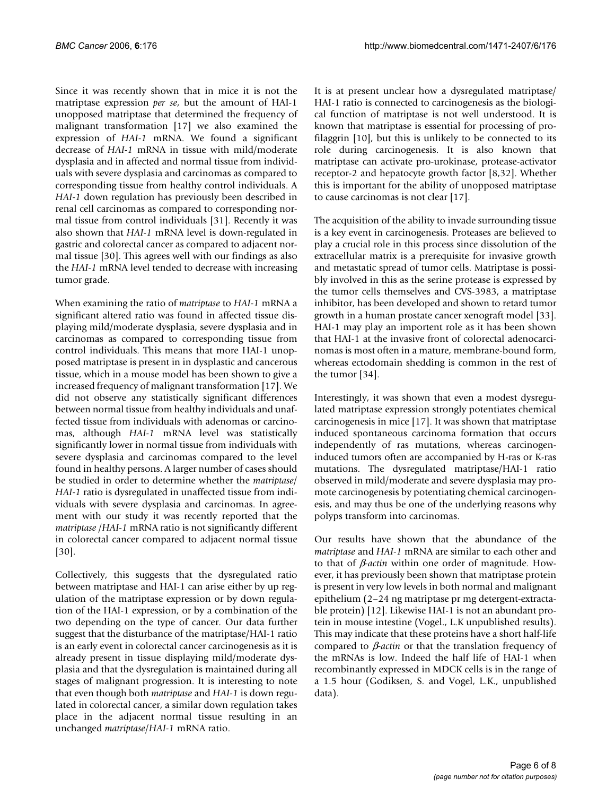Since it was recently shown that in mice it is not the matriptase expression *per se*, but the amount of HAI-1 unopposed matriptase that determined the frequency of malignant transformation [17] we also examined the expression of *HAI-1* mRNA. We found a significant decrease of *HAI-1* mRNA in tissue with mild/moderate dysplasia and in affected and normal tissue from individuals with severe dysplasia and carcinomas as compared to corresponding tissue from healthy control individuals. A *HAI-1* down regulation has previously been described in renal cell carcinomas as compared to corresponding normal tissue from control individuals [31]. Recently it was also shown that *HAI-1* mRNA level is down-regulated in gastric and colorectal cancer as compared to adjacent normal tissue [30]. This agrees well with our findings as also the *HAI-1* mRNA level tended to decrease with increasing tumor grade.

When examining the ratio of *matriptase* to *HAI-1* mRNA a significant altered ratio was found in affected tissue displaying mild/moderate dysplasia, severe dysplasia and in carcinomas as compared to corresponding tissue from control individuals. This means that more HAI-1 unopposed matriptase is present in in dysplastic and cancerous tissue, which in a mouse model has been shown to give a increased frequency of malignant transformation [17]. We did not observe any statistically significant differences between normal tissue from healthy individuals and unaffected tissue from individuals with adenomas or carcinomas, although *HAI-1* mRNA level was statistically significantly lower in normal tissue from individuals with severe dysplasia and carcinomas compared to the level found in healthy persons. A larger number of cases should be studied in order to determine whether the *matriptase*/ *HAI-1* ratio is dysregulated in unaffected tissue from individuals with severe dysplasia and carcinomas. In agreement with our study it was recently reported that the *matriptase* /*HAI-1* mRNA ratio is not significantly different in colorectal cancer compared to adjacent normal tissue [30].

Collectively, this suggests that the dysregulated ratio between matriptase and HAI-1 can arise either by up regulation of the matriptase expression or by down regulation of the HAI-1 expression, or by a combination of the two depending on the type of cancer. Our data further suggest that the disturbance of the matriptase/HAI-1 ratio is an early event in colorectal cancer carcinogenesis as it is already present in tissue displaying mild/moderate dysplasia and that the dysregulation is maintained during all stages of malignant progression. It is interesting to note that even though both *matriptase* and *HAI-1* is down regulated in colorectal cancer, a similar down regulation takes place in the adjacent normal tissue resulting in an unchanged *matriptase*/*HAI-1* mRNA ratio.

It is at present unclear how a dysregulated matriptase/ HAI-1 ratio is connected to carcinogenesis as the biological function of matriptase is not well understood. It is known that matriptase is essential for processing of profilaggrin [10], but this is unlikely to be connected to its role during carcinogenesis. It is also known that matriptase can activate pro-urokinase, protease-activator receptor-2 and hepatocyte growth factor [8,32]. Whether this is important for the ability of unopposed matriptase to cause carcinomas is not clear [17].

The acquisition of the ability to invade surrounding tissue is a key event in carcinogenesis. Proteases are believed to play a crucial role in this process since dissolution of the extracellular matrix is a prerequisite for invasive growth and metastatic spread of tumor cells. Matriptase is possibly involved in this as the serine protease is expressed by the tumor cells themselves and CVS-3983, a matriptase inhibitor, has been developed and shown to retard tumor growth in a human prostate cancer xenograft model [33]. HAI-1 may play an importent role as it has been shown that HAI-1 at the invasive front of colorectal adenocarcinomas is most often in a mature, membrane-bound form, whereas ectodomain shedding is common in the rest of the tumor [34].

Interestingly, it was shown that even a modest dysregulated matriptase expression strongly potentiates chemical carcinogenesis in mice [17]. It was shown that matriptase induced spontaneous carcinoma formation that occurs independently of ras mutations, whereas carcinogeninduced tumors often are accompanied by H-ras or K-ras mutations. The dysregulated matriptase/HAI-1 ratio observed in mild/moderate and severe dysplasia may promote carcinogenesis by potentiating chemical carcinogenesis, and may thus be one of the underlying reasons why polyps transform into carcinomas.

Our results have shown that the abundance of the *matriptase* and *HAI-1* mRNA are similar to each other and to that of β*-actin* within one order of magnitude. However, it has previously been shown that matriptase protein is present in very low levels in both normal and malignant epithelium (2–24 ng matriptase pr mg detergent-extractable protein) [12]. Likewise HAI-1 is not an abundant protein in mouse intestine (Vogel., L.K unpublished results). This may indicate that these proteins have a short half-life compared to β*-actin* or that the translation frequency of the mRNAs is low. Indeed the half life of HAI-1 when recombinantly expressed in MDCK cells is in the range of a 1.5 hour (Godiksen, S. and Vogel, L.K., unpublished data).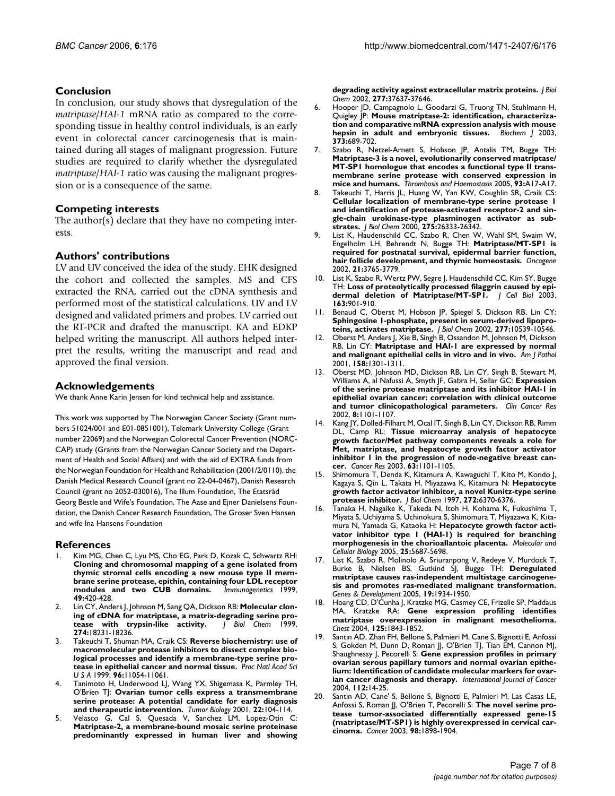# **Conclusion**

In conclusion, our study shows that dysregulation of the *matriptase*/*HAI-1* mRNA ratio as compared to the corresponding tissue in healthy control individuals, is an early event in colorectal cancer carcinogenesis that is maintained during all stages of malignant progression. Future studies are required to clarify whether the dysregulated *matriptase*/*HAI-1* ratio was causing the malignant progression or is a consequence of the same.

#### **Competing interests**

The author(s) declare that they have no competing interests.

#### **Authors' contributions**

LV and UV conceived the idea of the study. EHK designed the cohort and collected the samples. MS and CFS extracted the RNA, carried out the cDNA synthesis and performed most of the statistical calculations. UV and LV designed and validated primers and probes. LV carried out the RT-PCR and drafted the manuscript. KA and EDKP helped writing the manuscript. All authors helped interpret the results, writing the manuscript and read and approved the final version.

#### **Acknowledgements**

We thank Anne Karin Jensen for kind technical help and assistance.

This work was supported by The Norwegian Cancer Society (Grant numbers 51024/001 and E01-0851001), Telemark University College (Grant number 22069) and the Norwegian Colorectal Cancer Prevention (NORC-CAP) study (Grants from the Norwegian Cancer Society and the Department of Health and Social Affairs) and with the aid of EXTRA funds from the Norwegian Foundation for Health and Rehabilitation (2001/2/0110), the Danish Medical Research Council (grant no 22-04-0467), Danish Research Council (grant no 2052-030016), The Illum Foundation, The Etatsråd Georg Bestle and Wife's Foundation, The Aase and Ejner Danielsens Foundation, the Danish Cancer Research Foundation, The Groser Sven Hansen and wife Ina Hansens Foundation

#### **References**

- Kim MG, Chen C, Lyu MS, Cho EG, Park D, Kozak C, Schwartz RH: **[Cloning and chromosomal mapping of a gene isolated from](http://www.ncbi.nlm.nih.gov/entrez/query.fcgi?cmd=Retrieve&db=PubMed&dopt=Abstract&list_uids=10199918) thymic stromal cells encoding a new mouse type II membrane serine protease, epithin, containing four LDL receptor [modules and two CUB domains.](http://www.ncbi.nlm.nih.gov/entrez/query.fcgi?cmd=Retrieve&db=PubMed&dopt=Abstract&list_uids=10199918)** *Immunogenetics* 1999, **49:**420-428.
- Lin CY, Anders J, Johnson M, Sang QA, Dickson RB: [Molecular clon](http://www.ncbi.nlm.nih.gov/entrez/query.fcgi?cmd=Retrieve&db=PubMed&dopt=Abstract&list_uids=10373424)**[ing of cDNA for matriptase, a matrix-degrading serine pro](http://www.ncbi.nlm.nih.gov/entrez/query.fcgi?cmd=Retrieve&db=PubMed&dopt=Abstract&list_uids=10373424)**[tease with trypsin-like activity.](http://www.ncbi.nlm.nih.gov/entrez/query.fcgi?cmd=Retrieve&db=PubMed&dopt=Abstract&list_uids=10373424) **274:**18231-18236.
- 3. Takeuchi T, Shuman MA, Craik CS: **[Reverse biochemistry: use of](http://www.ncbi.nlm.nih.gov/entrez/query.fcgi?cmd=Retrieve&db=PubMed&dopt=Abstract&list_uids=10500122) [macromolecular protease inhibitors to dissect complex bio](http://www.ncbi.nlm.nih.gov/entrez/query.fcgi?cmd=Retrieve&db=PubMed&dopt=Abstract&list_uids=10500122)logical processes and identify a membrane-type serine pro[tease in epithelial cancer and normal tissue.](http://www.ncbi.nlm.nih.gov/entrez/query.fcgi?cmd=Retrieve&db=PubMed&dopt=Abstract&list_uids=10500122)** *Proc Natl Acad Sci U S A* 1999, **96:**11054-11061.
- Tanimoto H, Underwood LJ, Wang YX, Shigemasa K, Parmley TH, O'Brien TJ: **[Ovarian tumor cells express a transmembrane](http://www.ncbi.nlm.nih.gov/entrez/query.fcgi?cmd=Retrieve&db=PubMed&dopt=Abstract&list_uids=11125283) [serine protease: A potential candidate for early diagnosis](http://www.ncbi.nlm.nih.gov/entrez/query.fcgi?cmd=Retrieve&db=PubMed&dopt=Abstract&list_uids=11125283) [and therapeutic intervention.](http://www.ncbi.nlm.nih.gov/entrez/query.fcgi?cmd=Retrieve&db=PubMed&dopt=Abstract&list_uids=11125283)** *Tumor Biology* 2001, **22:**104-114.
- 5. Velasco G, Cal S, Quesada V, Sanchez LM, Lopez-Otin C: **Matriptase-2, a membrane-bound mosaic serine proteinase [predominantly expressed in human liver and showing](http://www.ncbi.nlm.nih.gov/entrez/query.fcgi?cmd=Retrieve&db=PubMed&dopt=Abstract&list_uids=12149247)**

**[degrading activity against extracellular matrix proteins.](http://www.ncbi.nlm.nih.gov/entrez/query.fcgi?cmd=Retrieve&db=PubMed&dopt=Abstract&list_uids=12149247)** *J Biol Chem* 2002, **277:**37637-37646.

- 6. Hooper JD, Campagnolo L, Goodarzi G, Truong TN, Stuhlmann H, Quigley JP: **[Mouse matriptase-2: identification, characteriza](http://www.ncbi.nlm.nih.gov/entrez/query.fcgi?cmd=Retrieve&db=PubMed&dopt=Abstract&list_uids=12744720)[tion and comparative mRNA expression analysis with mouse](http://www.ncbi.nlm.nih.gov/entrez/query.fcgi?cmd=Retrieve&db=PubMed&dopt=Abstract&list_uids=12744720) [hepsin in adult and embryonic tissues.](http://www.ncbi.nlm.nih.gov/entrez/query.fcgi?cmd=Retrieve&db=PubMed&dopt=Abstract&list_uids=12744720)** *Biochem J* 2003, **373:**689-702.
- Szabo R, Netzel-Arnett S, Hobson JP, Antalis TM, Bugge TH: **Matriptase-3 is a novel, evolutionarily conserved matriptase/ MT-SP1 homologue that encodes a functional type II transmembrane serine protease with conserved expression in mice and humans.** *Thrombosis and Haemostasis* 2005, **93:**A17-A17.
- 8. Takeuchi T, Harris JL, Huang W, Yan KW, Coughlin SR, Craik CS: **[Cellular localization of membrane-type serine protease 1](http://www.ncbi.nlm.nih.gov/entrez/query.fcgi?cmd=Retrieve&db=PubMed&dopt=Abstract&list_uids=10831593) and identification of protease-activated receptor-2 and single-chain urokinase-type plasminogen activator as sub[strates.](http://www.ncbi.nlm.nih.gov/entrez/query.fcgi?cmd=Retrieve&db=PubMed&dopt=Abstract&list_uids=10831593)** *J Biol Chem* 2000, **275:**26333-26342.
- 9. List K, Haudenschild CC, Szabo R, Chen W, Wahl SM, Swaim W, Engelholm LH, Behrendt N, Bugge TH: **[Matriptase/MT-SP1 is](http://www.ncbi.nlm.nih.gov/entrez/query.fcgi?cmd=Retrieve&db=PubMed&dopt=Abstract&list_uids=12032844) [required for postnatal survival, epidermal barrier function,](http://www.ncbi.nlm.nih.gov/entrez/query.fcgi?cmd=Retrieve&db=PubMed&dopt=Abstract&list_uids=12032844) [hair follicle development, and thymic homeostasis.](http://www.ncbi.nlm.nih.gov/entrez/query.fcgi?cmd=Retrieve&db=PubMed&dopt=Abstract&list_uids=12032844)** *Oncogene* 2002, **21:**3765-3779.
- 10. List K, Szabo R, Wertz PW, Segre J, Haudenschild CC, Kim SY, Bugge TH: **[Loss of proteolytically processed filaggrin caused by epi](http://www.ncbi.nlm.nih.gov/entrez/query.fcgi?cmd=Retrieve&db=PubMed&dopt=Abstract&list_uids=14638864)[dermal deletion of Matriptase/MT-SP1.](http://www.ncbi.nlm.nih.gov/entrez/query.fcgi?cmd=Retrieve&db=PubMed&dopt=Abstract&list_uids=14638864)** *J Cell Biol* 2003, **163:**901-910.
- 11. Benaud C, Oberst M, Hobson JP, Spiegel S, Dickson RB, Lin CY: **[Sphingosine 1-phosphate, present in serum-derived lipopro](http://www.ncbi.nlm.nih.gov/entrez/query.fcgi?cmd=Retrieve&db=PubMed&dopt=Abstract&list_uids=11792696)[teins, activates matriptase.](http://www.ncbi.nlm.nih.gov/entrez/query.fcgi?cmd=Retrieve&db=PubMed&dopt=Abstract&list_uids=11792696)** *J Biol Chem* 2002, **277:**10539-10546.
- 12. Oberst M, Anders J, Xie B, Singh B, Ossandon M, Johnson M, Dickson RB, Lin CY: **[Matriptase and HAI-1 are expressed by normal](http://www.ncbi.nlm.nih.gov/entrez/query.fcgi?cmd=Retrieve&db=PubMed&dopt=Abstract&list_uids=11290548) [and malignant epithelial cells in vitro and in vivo.](http://www.ncbi.nlm.nih.gov/entrez/query.fcgi?cmd=Retrieve&db=PubMed&dopt=Abstract&list_uids=11290548)** *Am J Pathol* 2001, **158:**1301-1311.
- 13. Oberst MD, Johnson MD, Dickson RB, Lin CY, Singh B, Stewart M, Williams A, al Nafussi A, Smyth JF, Gabra H, Sellar GC: **[Expression](http://www.ncbi.nlm.nih.gov/entrez/query.fcgi?cmd=Retrieve&db=PubMed&dopt=Abstract&list_uids=11948120) [of the serine protease matriptase and its inhibitor HAI-1 in](http://www.ncbi.nlm.nih.gov/entrez/query.fcgi?cmd=Retrieve&db=PubMed&dopt=Abstract&list_uids=11948120) epithelial ovarian cancer: correlation with clinical outcome [and tumor clinicopathological parameters.](http://www.ncbi.nlm.nih.gov/entrez/query.fcgi?cmd=Retrieve&db=PubMed&dopt=Abstract&list_uids=11948120)** *Clin Cancer Res* 2002, **8:**1101-1107.
- Kang JY, Dolled-Filhart M, Ocal IT, Singh B, Lin CY, Dickson RB, Rimm DL, Camp RL: **[Tissue microarray analysis of hepatocyte](http://www.ncbi.nlm.nih.gov/entrez/query.fcgi?cmd=Retrieve&db=PubMed&dopt=Abstract&list_uids=12615728) [growth factor/Met pathway components reveals a role for](http://www.ncbi.nlm.nih.gov/entrez/query.fcgi?cmd=Retrieve&db=PubMed&dopt=Abstract&list_uids=12615728) Met, matriptase, and hepatocyte growth factor activator inhibitor 1 in the progression of node-negative breast can[cer.](http://www.ncbi.nlm.nih.gov/entrez/query.fcgi?cmd=Retrieve&db=PubMed&dopt=Abstract&list_uids=12615728)** *Cancer Res* 2003, **63:**1101-1105.
- 15. Shimomura T, Denda K, Kitamura A, Kawaguchi T, Kito M, Kondo J, Kagaya S, Qin L, Takata H, Miyazawa K, Kitamura N: **[Hepatocyte](http://www.ncbi.nlm.nih.gov/entrez/query.fcgi?cmd=Retrieve&db=PubMed&dopt=Abstract&list_uids=9045658) [growth factor activator inhibitor, a novel Kunitz-type serine](http://www.ncbi.nlm.nih.gov/entrez/query.fcgi?cmd=Retrieve&db=PubMed&dopt=Abstract&list_uids=9045658) [protease inhibitor.](http://www.ncbi.nlm.nih.gov/entrez/query.fcgi?cmd=Retrieve&db=PubMed&dopt=Abstract&list_uids=9045658)** *J Biol Chem* 1997, **272:**6370-6376.
- 16. Tanaka H, Nagaike K, Takeda N, Itoh H, Kohama K, Fukushima T, Miyata S, Uchiyama S, Uchinokura S, Shimomura T, Miyazawa K, Kitamura N, Yamada G, Kataoka H: **Hepatocyte growth factor activator inhibitor type 1 (HAI-1) is required for branching morphogenesis in the chorioallantoic placenta.** *Molecular and Cellular Biology* 2005, **25:**5687-5698.
- 17. List K, Szabo R, Molinolo A, Sriuranpong V, Redeye V, Murdock T, Burke B, Nielsen BS, Gutkind SJ, Bugge TH: **[Deregulated](http://www.ncbi.nlm.nih.gov/entrez/query.fcgi?cmd=Retrieve&db=PubMed&dopt=Abstract&list_uids=16103220) [matriptase causes ras-independent multistage carcinogene](http://www.ncbi.nlm.nih.gov/entrez/query.fcgi?cmd=Retrieve&db=PubMed&dopt=Abstract&list_uids=16103220)sis and promotes ras-mediated malignant transformation.** *Genes & Development* 2005, **19:**1934-1950.
- 18. Hoang CD, D'Cunha J, Kratzke MG, Casmey CE, Frizelle SP, Maddaus MA, Kratzke RA: **[Gene expression profiling identifies](http://www.ncbi.nlm.nih.gov/entrez/query.fcgi?cmd=Retrieve&db=PubMed&dopt=Abstract&list_uids=15136399) [matriptase overexpression in malignant mesothelioma.](http://www.ncbi.nlm.nih.gov/entrez/query.fcgi?cmd=Retrieve&db=PubMed&dopt=Abstract&list_uids=15136399)** *Chest* 2004, **125:**1843-1852.
- 19. Santin AD, Zhan FH, Bellone S, Palmieri M, Cane S, Bignotti E, Anfossi S, Gokden M, Dunn D, Roman JJ, O'Brien TJ, Tian EM, Cannon MJ, Shaughnessy J, Pecorelli S: **Gene expression profiles in primary ovarian serous papillary tumors and normal ovarian epithelium: Identification of candidate molecular markers for ovarian cancer diagnosis and therapy.** *International Journal of Cancer* 2004, **112:**14-25.
- Santin AD, Cane' S, Bellone S, Bignotti E, Palmieri M, Las Casas LE, Anfossi S, Roman JJ, O'Brien T, Pecorelli S: **[The novel serine pro](http://www.ncbi.nlm.nih.gov/entrez/query.fcgi?cmd=Retrieve&db=PubMed&dopt=Abstract&list_uids=14584072)[tease tumor-associated differentially expressed gene-15](http://www.ncbi.nlm.nih.gov/entrez/query.fcgi?cmd=Retrieve&db=PubMed&dopt=Abstract&list_uids=14584072) (matriptase/MT-SP1) is highly overexpressed in cervical car[cinoma.](http://www.ncbi.nlm.nih.gov/entrez/query.fcgi?cmd=Retrieve&db=PubMed&dopt=Abstract&list_uids=14584072)** *Cancer* 2003, **98:**1898-1904.